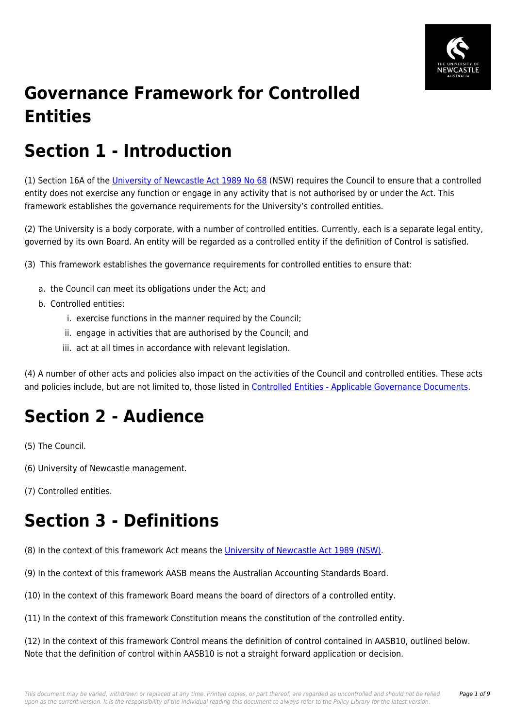

# **Governance Framework for Controlled Entities**

# **Section 1 - Introduction**

(1) Section 16A of the [University of Newcastle Act 1989 No 68](https://policies.newcastle.edu.au/directory-summary.php?legislation=17) (NSW) requires the Council to ensure that a controlled entity does not exercise any function or engage in any activity that is not authorised by or under the Act. This framework establishes the governance requirements for the University's controlled entities.

(2) The University is a body corporate, with a number of controlled entities. Currently, each is a separate legal entity, governed by its own Board. An entity will be regarded as a controlled entity if the definition of Control is satisfied.

(3) This framework establishes the governance requirements for controlled entities to ensure that:

- a. the Council can meet its obligations under the Act; and
- b. Controlled entities:
	- i. exercise functions in the manner required by the Council;
	- ii. engage in activities that are authorised by the Council; and
	- iii. act at all times in accordance with relevant legislation.

(4) A number of other acts and policies also impact on the activities of the Council and controlled entities. These acts and policies include, but are not limited to, those listed in [Controlled Entities - Applicable Governance Documents](https://policies.newcastle.edu.au/download.php?id=273&version=2&associated).

# **Section 2 - Audience**

(5) The Council.

(6) University of Newcastle management.

(7) Controlled entities.

# **Section 3 - Definitions**

(8) In the context of this framework Act means the [University of Newcastle Act 1989 \(NSW\).](https://policies.newcastle.edu.au/directory-summary.php?legislation=17)

(9) In the context of this framework AASB means the Australian Accounting Standards Board.

(10) In the context of this framework Board means the board of directors of a controlled entity.

(11) In the context of this framework Constitution means the constitution of the controlled entity.

(12) In the context of this framework Control means the definition of control contained in AASB10, outlined below. Note that the definition of control within AASB10 is not a straight forward application or decision.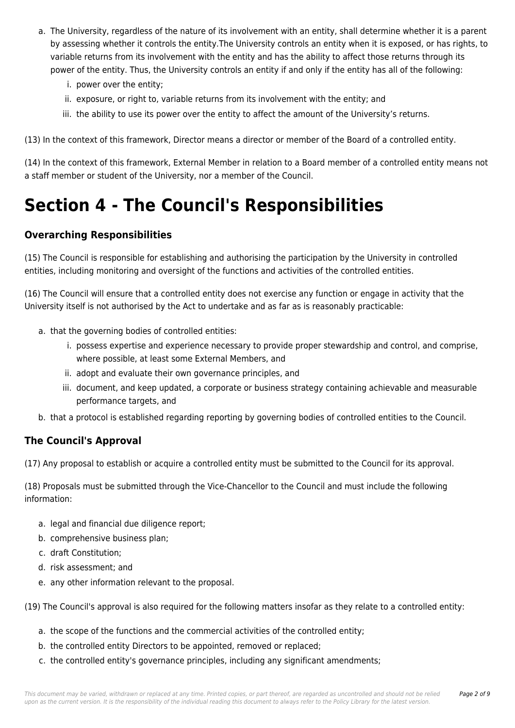- a. The University, regardless of the nature of its involvement with an entity, shall determine whether it is a parent by assessing whether it controls the entity.The University controls an entity when it is exposed, or has rights, to variable returns from its involvement with the entity and has the ability to affect those returns through its power of the entity. Thus, the University controls an entity if and only if the entity has all of the following:
	- i. power over the entity;
	- ii. exposure, or right to, variable returns from its involvement with the entity; and
	- iii. the ability to use its power over the entity to affect the amount of the University's returns.

(13) In the context of this framework, Director means a director or member of the Board of a controlled entity.

(14) In the context of this framework, External Member in relation to a Board member of a controlled entity means not a staff member or student of the University, nor a member of the Council.

## **Section 4 - The Council's Responsibilities**

#### **Overarching Responsibilities**

(15) The Council is responsible for establishing and authorising the participation by the University in controlled entities, including monitoring and oversight of the functions and activities of the controlled entities.

(16) The Council will ensure that a controlled entity does not exercise any function or engage in activity that the University itself is not authorised by the Act to undertake and as far as is reasonably practicable:

- a. that the governing bodies of controlled entities:
	- i. possess expertise and experience necessary to provide proper stewardship and control, and comprise, where possible, at least some External Members, and
	- ii. adopt and evaluate their own governance principles, and
	- iii. document, and keep updated, a corporate or business strategy containing achievable and measurable performance targets, and
- b. that a protocol is established regarding reporting by governing bodies of controlled entities to the Council.

#### **The Council's Approval**

(17) Any proposal to establish or acquire a controlled entity must be submitted to the Council for its approval.

(18) Proposals must be submitted through the Vice-Chancellor to the Council and must include the following information:

- a. legal and financial due diligence report;
- b. comprehensive business plan;
- c. draft Constitution;
- d. risk assessment; and
- e. any other information relevant to the proposal.

(19) The Council's approval is also required for the following matters insofar as they relate to a controlled entity:

- a. the scope of the functions and the commercial activities of the controlled entity;
- b. the controlled entity Directors to be appointed, removed or replaced;
- c. the controlled entity's governance principles, including any significant amendments;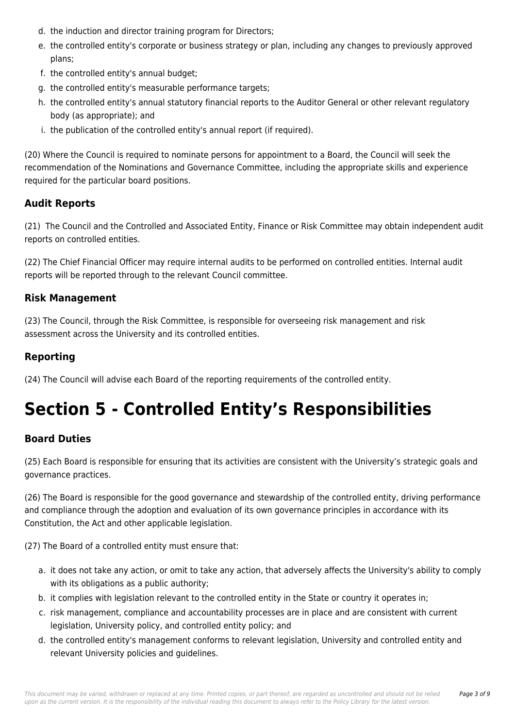- d. the induction and director training program for Directors;
- e. the controlled entity's corporate or business strategy or plan, including any changes to previously approved plans;
- f. the controlled entity's annual budget;
- g. the controlled entity's measurable performance targets;
- h. the controlled entity's annual statutory financial reports to the Auditor General or other relevant regulatory body (as appropriate); and
- i. the publication of the controlled entity's annual report (if required).

(20) Where the Council is required to nominate persons for appointment to a Board, the Council will seek the recommendation of the Nominations and Governance Committee, including the appropriate skills and experience required for the particular board positions.

#### **Audit Reports**

(21) The Council and the Controlled and Associated Entity, Finance or Risk Committee may obtain independent audit reports on controlled entities.

(22) The Chief Financial Officer may require internal audits to be performed on controlled entities. Internal audit reports will be reported through to the relevant Council committee.

#### **Risk Management**

(23) The Council, through the Risk Committee, is responsible for overseeing risk management and risk assessment across the University and its controlled entities.

#### **Reporting**

(24) The Council will advise each Board of the reporting requirements of the controlled entity.

# **Section 5 - Controlled Entity's Responsibilities**

#### **Board Duties**

(25) Each Board is responsible for ensuring that its activities are consistent with the University's strategic goals and governance practices.

(26) The Board is responsible for the good governance and stewardship of the controlled entity, driving performance and compliance through the adoption and evaluation of its own governance principles in accordance with its Constitution, the Act and other applicable legislation.

(27) The Board of a controlled entity must ensure that:

- a. it does not take any action, or omit to take any action, that adversely affects the University's ability to comply with its obligations as a public authority;
- b. it complies with legislation relevant to the controlled entity in the State or country it operates in;
- c. risk management, compliance and accountability processes are in place and are consistent with current legislation, University policy, and controlled entity policy; and
- d. the controlled entity's management conforms to relevant legislation, University and controlled entity and relevant University policies and guidelines.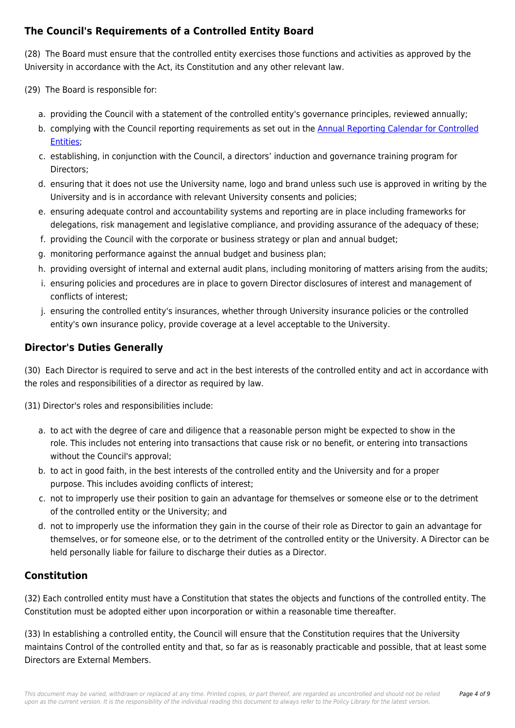### **The Council's Requirements of a Controlled Entity Board**

(28) The Board must ensure that the controlled entity exercises those functions and activities as approved by the University in accordance with the Act, its Constitution and any other relevant law.

(29) The Board is responsible for:

- a. providing the Council with a statement of the controlled entity's governance principles, reviewed annually;
- b. complying with the Council reporting requirements as set out in the [Annual Reporting Calendar for Controlled](https://policies.newcastle.edu.au/download.php?id=418&version=2&associated) [Entities](https://policies.newcastle.edu.au/download.php?id=418&version=2&associated);
- c. establishing, in conjunction with the Council, a directors' induction and governance training program for Directors;
- d. ensuring that it does not use the University name, logo and brand unless such use is approved in writing by the University and is in accordance with relevant University consents and policies;
- e. ensuring adequate control and accountability systems and reporting are in place including frameworks for delegations, risk management and legislative compliance, and providing assurance of the adequacy of these;
- f. providing the Council with the corporate or business strategy or plan and annual budget;
- g. monitoring performance against the annual budget and business plan;
- h. providing oversight of internal and external audit plans, including monitoring of matters arising from the audits;
- i. ensuring policies and procedures are in place to govern Director disclosures of interest and management of conflicts of interest;
- j. ensuring the controlled entity's insurances, whether through University insurance policies or the controlled entity's own insurance policy, provide coverage at a level acceptable to the University.

### **Director's Duties Generally**

(30) Each Director is required to serve and act in the best interests of the controlled entity and act in accordance with the roles and responsibilities of a director as required by law.

(31) Director's roles and responsibilities include:

- a. to act with the degree of care and diligence that a reasonable person might be expected to show in the role. This includes not entering into transactions that cause risk or no benefit, or entering into transactions without the Council's approval;
- b. to act in good faith, in the best interests of the controlled entity and the University and for a proper purpose. This includes avoiding conflicts of interest;
- c. not to improperly use their position to gain an advantage for themselves or someone else or to the detriment of the controlled entity or the University; and
- d. not to improperly use the information they gain in the course of their role as Director to gain an advantage for themselves, or for someone else, or to the detriment of the controlled entity or the University. A Director can be held personally liable for failure to discharge their duties as a Director.

### **Constitution**

(32) Each controlled entity must have a Constitution that states the objects and functions of the controlled entity. The Constitution must be adopted either upon incorporation or within a reasonable time thereafter.

(33) In establishing a controlled entity, the Council will ensure that the Constitution requires that the University maintains Control of the controlled entity and that, so far as is reasonably practicable and possible, that at least some Directors are External Members.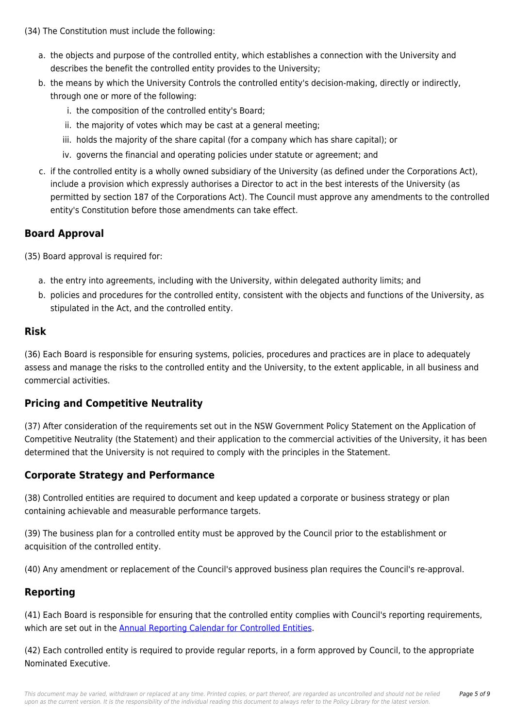- a. the objects and purpose of the controlled entity, which establishes a connection with the University and describes the benefit the controlled entity provides to the University;
- b. the means by which the University Controls the controlled entity's decision-making, directly or indirectly, through one or more of the following:
	- i. the composition of the controlled entity's Board;
	- ii. the majority of votes which may be cast at a general meeting;
	- iii. holds the majority of the share capital (for a company which has share capital); or
	- iv. governs the financial and operating policies under statute or agreement; and
- c. if the controlled entity is a wholly owned subsidiary of the University (as defined under the Corporations Act), include a provision which expressly authorises a Director to act in the best interests of the University (as permitted by section 187 of the Corporations Act). The Council must approve any amendments to the controlled entity's Constitution before those amendments can take effect.

### **Board Approval**

(35) Board approval is required for:

- a. the entry into agreements, including with the University, within delegated authority limits; and
- b. policies and procedures for the controlled entity, consistent with the objects and functions of the University, as stipulated in the Act, and the controlled entity.

#### **Risk**

(36) Each Board is responsible for ensuring systems, policies, procedures and practices are in place to adequately assess and manage the risks to the controlled entity and the University, to the extent applicable, in all business and commercial activities.

#### **Pricing and Competitive Neutrality**

(37) After consideration of the requirements set out in the NSW Government Policy Statement on the Application of Competitive Neutrality (the Statement) and their application to the commercial activities of the University, it has been determined that the University is not required to comply with the principles in the Statement.

### **Corporate Strategy and Performance**

(38) Controlled entities are required to document and keep updated a corporate or business strategy or plan containing achievable and measurable performance targets.

(39) The business plan for a controlled entity must be approved by the Council prior to the establishment or acquisition of the controlled entity.

(40) Any amendment or replacement of the Council's approved business plan requires the Council's re-approval.

#### **Reporting**

(41) Each Board is responsible for ensuring that the controlled entity complies with Council's reporting requirements, which are set out in the [Annual Reporting Calendar for Controlled Entities.](https://policies.newcastle.edu.au/download.php?id=418&version=2&associated)

(42) Each controlled entity is required to provide regular reports, in a form approved by Council, to the appropriate Nominated Executive.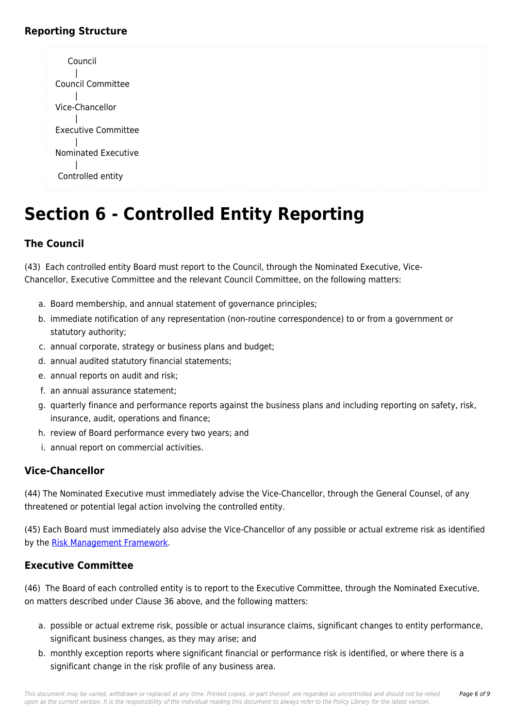#### **Reporting Structure**



# **Section 6 - Controlled Entity Reporting**

### **The Council**

(43) Each controlled entity Board must report to the Council, through the Nominated Executive, Vice-Chancellor, Executive Committee and the relevant Council Committee, on the following matters:

- a. Board membership, and annual statement of governance principles;
- b. immediate notification of any representation (non-routine correspondence) to or from a government or statutory authority;
- c. annual corporate, strategy or business plans and budget;
- d. annual audited statutory financial statements;
- e. annual reports on audit and risk;
- f. an annual assurance statement;
- g. quarterly finance and performance reports against the business plans and including reporting on safety, risk, insurance, audit, operations and finance;
- h. review of Board performance every two years; and
- i. annual report on commercial activities.

#### **Vice-Chancellor**

(44) The Nominated Executive must immediately advise the Vice-Chancellor, through the General Counsel, of any threatened or potential legal action involving the controlled entity.

(45) Each Board must immediately also advise the Vice-Chancellor of any possible or actual extreme risk as identified by the [Risk Management Framework.](https://policies.newcastle.edu.au/document/view-current.php?id=247)

#### **Executive Committee**

(46) The Board of each controlled entity is to report to the Executive Committee, through the Nominated Executive, on matters described under Clause 36 above, and the following matters:

- a. possible or actual extreme risk, possible or actual insurance claims, significant changes to entity performance, significant business changes, as they may arise; and
- b. monthly exception reports where significant financial or performance risk is identified, or where there is a significant change in the risk profile of any business area.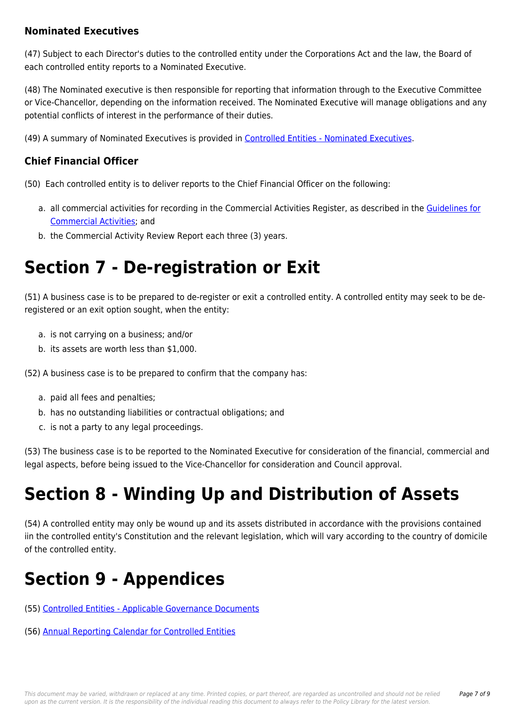#### **Nominated Executives**

(47) Subject to each Director's duties to the controlled entity under the Corporations Act and the law, the Board of each controlled entity reports to a Nominated Executive.

(48) The Nominated executive is then responsible for reporting that information through to the Executive Committee or Vice-Chancellor, depending on the information received. The Nominated Executive will manage obligations and any potential conflicts of interest in the performance of their duties.

(49) A summary of Nominated Executives is provided in [Controlled Entities - Nominated Executives](https://policies.newcastle.edu.au/download.php?id=419&version=1&associated).

#### **Chief Financial Officer**

(50) Each controlled entity is to deliver reports to the Chief Financial Officer on the following:

- a. all commercial activities for recording in the Commercial Activities Register, as described in the [Guidelines for](https://policies.newcastle.edu.au/document/view-current.php?id=153) [Commercial Activities](https://policies.newcastle.edu.au/document/view-current.php?id=153); and
- b. the Commercial Activity Review Report each three (3) years.

## **Section 7 - De-registration or Exit**

(51) A business case is to be prepared to de-register or exit a controlled entity. A controlled entity may seek to be deregistered or an exit option sought, when the entity:

- a. is not carrying on a business; and/or
- b. its assets are worth less than \$1,000.

(52) A business case is to be prepared to confirm that the company has:

- a. paid all fees and penalties;
- b. has no outstanding liabilities or contractual obligations; and
- c. is not a party to any legal proceedings.

(53) The business case is to be reported to the Nominated Executive for consideration of the financial, commercial and legal aspects, before being issued to the Vice-Chancellor for consideration and Council approval.

## **Section 8 - Winding Up and Distribution of Assets**

(54) A controlled entity may only be wound up and its assets distributed in accordance with the provisions contained iin the controlled entity's Constitution and the relevant legislation, which will vary according to the country of domicile of the controlled entity.

## **Section 9 - Appendices**

- (55) [Controlled Entities Applicable Governance Documents](https://policies.newcastle.edu.au/download.php?id=273&version=2&associated)
- (56) [Annual Reporting Calendar for Controlled Entities](https://policies.newcastle.edu.au/download.php?id=418&version=2&associated)